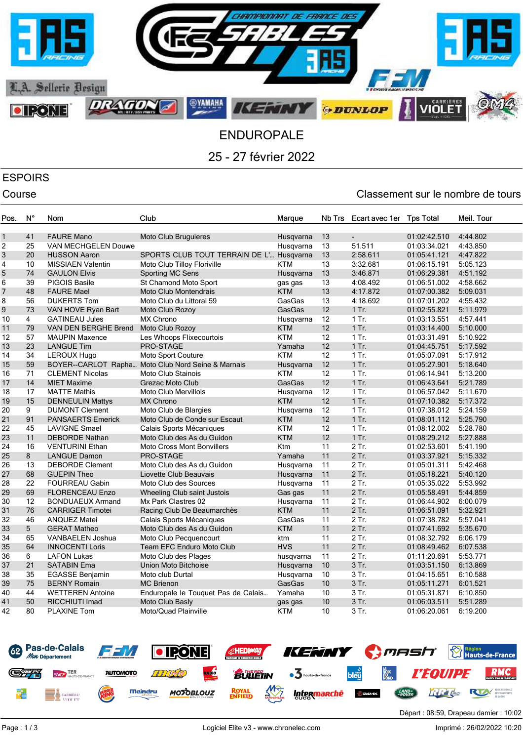

25 - 27 février 2022

# ESPOIRS

### Course Course Course Course Course Course Course Course Course Course Course Course Course Course Course Cours

| Pos.         | Ν°              | Nom                      | Club                                               | Marque     | Nb Trs | Ecart avec 1er           | <b>Tps Total</b> | Meil. Tour |
|--------------|-----------------|--------------------------|----------------------------------------------------|------------|--------|--------------------------|------------------|------------|
|              |                 |                          |                                                    |            |        |                          |                  |            |
| $\mathbf{1}$ | 41              | <b>FAURE Mano</b>        | <b>Moto Club Bruguieres</b>                        | Husqvarna  | 13     | $\overline{\phantom{a}}$ | 01:02:42.510     | 4:44.802   |
| 2            | 25              | VAN MECHGELEN Douwe      |                                                    | Husqvarna  | 13     | 51.511                   | 01:03:34.021     | 4:43.850   |
| 3            | 20              | <b>HUSSON Aaron</b>      | SPORTS CLUB TOUT TERRAIN DE L'                     | Husqvarna  | 13     | 2:58.611                 | 01:05:41.121     | 4:47.822   |
| 4            | 10              | <b>MISSIAEN Valentin</b> | Moto Club Tilloy Floriville                        | <b>KTM</b> | 13     | 3:32.681                 | 01:06:15.191     | 5:05.123   |
| 5            | 74              | <b>GAULON Elvis</b>      | Sporting MC Sens                                   | Husgvarna  | 13     | 3:46.871                 | 01:06:29.381     | 4:51.192   |
| 6            | 39              | <b>PIGOIS Basile</b>     | St Chamond Moto Sport                              | gas gas    | 13     | 4:08.492                 | 01:06:51.002     | 4:58.662   |
| 7            | 48              | <b>FAURE Mael</b>        | <b>Moto Club Montendrais</b>                       | <b>KTM</b> | 13     | 4:17.872                 | 01:07:00.382     | 5:09.031   |
| 8            | 56              | <b>DUKERTS Tom</b>       | Moto Club du Littoral 59                           | GasGas     | 13     | 4:18.692                 | 01:07:01.202     | 4:55.432   |
| 9            | 73              | VAN HOVE Ryan Bart       | Moto Club Rozoy                                    | GasGas     | 12     | 1 Tr.                    | 01:02:55.821     | 5:11.979   |
| 10           | $\overline{4}$  | <b>GATINEAU Jules</b>    | <b>MX Chrono</b>                                   | Husgvarna  | 12     | $1$ Tr.                  | 01:03:13.551     | 4:57.441   |
| 11           | 79              | VAN DEN BERGHE Brend     | Moto Club Rozoy                                    | <b>KTM</b> | 12     | $1$ Tr.                  | 01:03:14.400     | 5:10.000   |
| 12           | 57              | <b>MAUPIN Maxence</b>    | Les Whoops Flixecourtois                           | <b>KTM</b> | 12     | $1$ Tr.                  | 01:03:31.491     | 5:10.922   |
| 13           | 23              | <b>LANGUE Tim</b>        | PRO-STAGE                                          | Yamaha     | 12     | $1$ Tr.                  | 01:04:45.751     | 5:17.592   |
| 14           | 34              | LEROUX Hugo              | <b>Moto Sport Couture</b>                          | <b>KTM</b> | 12     | $1$ Tr.                  | 01:05:07.091     | 5:17.912   |
| 15           | 59              |                          | BOYER--CARLOT Rapha Moto Club Nord Seine & Marnais | Husqvarna  | 12     | 1 Tr.                    | 01:05:27.901     | 5:18.640   |
| 16           | 71              | <b>CLEMENT Nicolas</b>   | <b>Moto Club Stainois</b>                          | <b>KTM</b> | 12     | $1$ Tr.                  | 01:06:14.941     | 5:13.200   |
| 17           | 14              | <b>MIET Maxime</b>       | Grezac Moto Club                                   | GasGas     | 12     | 1 Tr.                    | 01:06:43.641     | 5:21.789   |
| 18           | 17              | <b>MATTE Mathis</b>      | Moto Club Mervillois                               | Husqvarna  | 12     | $1$ Tr.                  | 01:06:57.042     | 5:11.670   |
| 19           | 15              | <b>DENNEULIN Mattys</b>  | <b>MX Chrono</b>                                   | <b>KTM</b> | 12     | $1$ Tr.                  | 01:07:10.382     | 5:17.372   |
| 20           | 9               | <b>DUMONT Clement</b>    | Moto Club de Blargies                              | Husqvarna  | 12     | 1 Tr.                    | 01:07:38.012     | 5:24.159   |
| 21           | 91              | <b>PANSAERTS Emerick</b> | Moto Club de Conde sur Escaut                      | <b>KTM</b> | 12     | $1$ Tr.                  | 01:08:01.112     | 5:25.790   |
| 22           | 45              | <b>LAVIGNE Smael</b>     | Calais Sports Mécaniques                           | <b>KTM</b> | 12     | $1$ Tr.                  | 01:08:12.002     | 5:28.780   |
| 23           | 11              | <b>DEBORDE Nathan</b>    | Moto Club des As du Guidon                         | <b>KTM</b> | 12     | $1$ Tr.                  | 01:08:29.212     | 5:27.888   |
| 24           | 16              | <b>VENTURINI Ethan</b>   | <b>Moto Cross Mont Bonvillers</b>                  | Ktm        | 11     | 2 Tr.                    | 01:02:53.601     | 5:41.190   |
| 25           | 8               | <b>LANGUE Damon</b>      | PRO-STAGE                                          | Yamaha     | 11     | 2 Tr.                    | 01:03:37.921     | 5:15.332   |
| 26           | 13              | <b>DEBORDE Clement</b>   | Moto Club des As du Guidon                         | Husqvarna  | 11     | 2 Tr.                    | 01:05:01.311     | 5:42.468   |
| 27           | 68              | <b>GUEPIN Theo</b>       | Liovette Club Beauvais                             | Husqvarna  | 11     | 2 Tr.                    | 01:05:18.221     | 5:40.120   |
| 28           | 22              | <b>FOURREAU Gabin</b>    | Moto Club des Sources                              | Husqvarna  | 11     | 2 Tr.                    | 01:05:35.022     | 5:53.992   |
| 29           | 69              | <b>FLORENCEAU Enzo</b>   | Wheeling Club saint Justois                        | Gas gas    | 11     | 2 Tr.                    | 01:05:58.491     | 5:44.859   |
| 30           | 12              | <b>BONDUAEUX Armand</b>  | Mx Park Clastres 02                                | Husqvarna  | 11     | 2 Tr.                    | 01:06:44.902     | 6:00.079   |
| 31           | 76              | <b>CARRIGER Timotei</b>  | Racing Club De Beaumarchès                         | <b>KTM</b> | 11     | $2$ Tr.                  | 01:06:51.091     | 5:32.921   |
| 32           | 46              | <b>ANQUEZ Matei</b>      | Calais Sports Mécaniques                           | GasGas     | 11     | 2 Tr.                    | 01:07:38.782     | 5:57.041   |
| 33           | $5\overline{)}$ | <b>GERAT Matheo</b>      | Moto Club des As du Guidon                         | <b>KTM</b> | 11     | 2 Tr.                    | 01:07:41.692     | 5:35.670   |
| 34           | 65              | VANBAELEN Joshua         | Moto Club Pecquencourt                             | ktm        | 11     | $2$ Tr.                  | 01:08:32.792     | 6:06.179   |
| 35           | 64              | <b>INNOCENTI Loris</b>   | Team EFC Enduro Moto Club                          | <b>HVS</b> | 11     | 2 Tr.                    | 01:08:49.462     | 6:07.538   |
| 36           | 6               | <b>LAFON Lukas</b>       | Moto Club des Plages                               | husqvarna  | 11     | $2$ Tr.                  | 01:11:20.691     | 5:53.771   |
| 37           | 21              | <b>SATABIN Ema</b>       | Union Moto Bitchoise                               | Husqvarna  | 10     | 3 Tr.                    | 01:03:51.150     | 6:13.869   |
| 38           | 35              | <b>EGASSE Benjamin</b>   | Moto club Durtal                                   | Husqvarna  | 10     | 3 Tr.                    | 01:04:15.651     | 6:10.588   |
| 39           | 75              | <b>BERNY Romain</b>      | <b>MC Brienon</b>                                  | GasGas     | 10     | $3$ Tr.                  | 01:05:11.271     | 6:01.521   |
| 40           | 44              | <b>WETTEREN Antoine</b>  | Enduropale le Touquet Pas de Calais                | Yamaha     | 10     | 3 Tr.                    | 01:05:31.871     | 6:10.850   |
| 41           | 50              | RICCHIUTI Imad           | Moto Club Basly                                    |            | 10     | 3 Tr.                    | 01:06:03.511     | 5:51.289   |
| 42           | 80              |                          | Moto/Quad Plainville                               | gas gas    | 10     | 3 Tr.                    |                  |            |
|              |                 | <b>PLAXINE Tom</b>       |                                                    | <b>KTM</b> |        |                          | 01:06:20.061     | 6:19.200   |

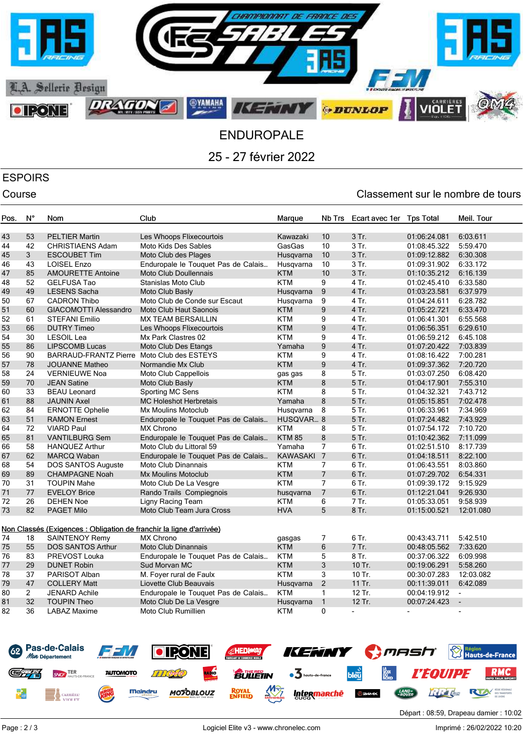

25 - 27 février 2022

## ESPOIRS

## Course Course Course Course Course Course Course Course Course Course Course Course Course Course Course Cours

| Pos. | $N^{\circ}$    | Nom                                                                 | Club                                | Marque           | Nb Trs           | Ecart avec 1er | <b>Tps Total</b> | Meil. Tour     |
|------|----------------|---------------------------------------------------------------------|-------------------------------------|------------------|------------------|----------------|------------------|----------------|
| 43   | 53             | <b>PELTIER Martin</b>                                               | Les Whoops Flixecourtois            | Kawazaki         | 10               | 3 Tr.          | 01:06:24.081     | 6:03.611       |
| 44   | 42             | CHRISTIAENS Adam                                                    | Moto Kids Des Sables                | GasGas           | 10               | 3 Tr.          | 01:08:45.322     | 5:59.470       |
| 45   | 3              | <b>ESCOUBET Tim</b>                                                 | Moto Club des Plages                | Husqvarna        | 10               | 3 Tr.          | 01:09:12.882     | 6:30.308       |
| 46   | 43             | <b>LOISEL Enzo</b>                                                  | Enduropale le Touquet Pas de Calais | Husqvarna        | 10               | 3 Tr.          | 01:09:31.902     | 6:33.172       |
| 47   | 85             | <b>AMOURETTE Antoine</b>                                            | <b>Moto Club Doullennais</b>        | <b>KTM</b>       | 10               | 3 Tr.          | 01:10:35.212     | 6:16.139       |
| 48   | 52             | <b>GELFUSA Tao</b>                                                  | Stanislas Moto Club                 | <b>KTM</b>       | 9                | 4 Tr.          | 01:02:45.410     | 6:33.580       |
| 49   | 49             | <b>LESENS Sacha</b>                                                 | Moto Club Basly                     | Husqvarna        | $9\,$            | 4 Tr.          | 01:03:23.581     | 6:37.979       |
| 50   | 67             | <b>CADRON Thibo</b>                                                 | Moto Club de Conde sur Escaut       | Husqvarna        | 9                | 4 Tr.          | 01:04:24.611     | 6:28.782       |
| 51   | 60             | GIACOMOTTI Alessandro                                               | <b>Moto Club Haut Saonois</b>       | <b>KTM</b>       | 9                | 4 Tr.          | 01:05:22.721     | 6:33.470       |
| 52   | 61             | <b>STEFANI Emilio</b>                                               | <b>MX TEAM BERSAILLIN</b>           | <b>KTM</b>       | 9                | 4 Tr.          |                  | 6:55.568       |
|      | 66             |                                                                     |                                     |                  |                  | 4 Tr.          | 01:06:41.301     |                |
| 53   |                | <b>DUTRY Timeo</b>                                                  | Les Whoops Flixecourtois            | <b>KTM</b>       | $\boldsymbol{9}$ | 4 Tr.          | 01:06:56.351     | 6:29.610       |
| 54   | 30             | <b>LESOIL Lea</b>                                                   | Mx Park Clastres 02                 | <b>KTM</b>       | 9                |                | 01:06:59.212     | 6:45.108       |
| 55   | 86             | <b>LIPSCOMB Lucas</b>                                               | Moto Club Des Etangs                | Yamaha           | $\boldsymbol{9}$ | 4 Tr.          | 01:07:20.422     | 7:03.839       |
| 56   | 90             | BARRAUD-FRANTZ Pierre Moto Club des ESTEYS                          |                                     | <b>KTM</b>       | 9                | 4 Tr.          | 01:08:16.422     | 7:00.281       |
| 57   | 78             | <b>JOUANNE Matheo</b>                                               | Normandie Mx Club                   | <b>KTM</b>       | 9                | 4 Tr.          | 01:09:37.362     | 7:20.720       |
| 58   | 24             | <b>VERNIEUWE Noa</b>                                                | Moto Club Cappellois                | gas gas          | 8                | 5 Tr.          | 01:03:07.250     | 6:08.420       |
| 59   | 70             | <b>JEAN Satine</b>                                                  | Moto Club Basly                     | <b>KTM</b>       | $\bf 8$          | 5 Tr.          | 01:04:17.901     | 7:55.310       |
| 60   | 33             | <b>BEAU Leonard</b>                                                 | Sporting MC Sens                    | <b>KTM</b>       | 8                | 5 Tr.          | 01:04:32.321     | 7:43.712       |
| 61   | 88             | <b>JAUNIN Axel</b>                                                  | <b>MC Holeshot Herbretais</b>       | Yamaha           | $\bf 8$          | 5 Tr.          | 01:05:15.851     | 7:02.478       |
| 62   | 84             | <b>ERNOTTE Ophelie</b>                                              | Mx Moulins Motoclub                 | Husqvarna        | 8                | 5 Tr.          | 01:06:33.961     | 7:34.969       |
| 63   | 51             | <b>RAMON Ernest</b>                                                 | Enduropale le Touquet Pas de Calais | <b>HUSQVAR 8</b> |                  | 5 Tr.          | 01:07:24.482     | 7:43.929       |
| 64   | 72             | <b>VIARD Paul</b>                                                   | MX Chrono                           | <b>KTM</b>       | 8                | 5 Tr.          | 01:07:54.172     | 7:10.720       |
| 65   | 81             | <b>VANTILBURG Sem</b>                                               | Enduropale le Touquet Pas de Calais | <b>KTM 85</b>    | $\bf 8$          | 5 Tr.          | 01:10:42.362     | 7:11.099       |
| 66   | 58             | <b>HANQUEZ Arthur</b>                                               | Moto Club du Littoral 59            | Yamaha           | $\overline{7}$   | 6 Tr.          | 01:02:51.510     | 8:17.739       |
| 67   | 62             | <b>MARCQ Waban</b>                                                  | Enduropale le Touquet Pas de Calais | KAWASAKI 7       |                  | 6 Tr.          | 01:04:18.511     | 8:22.100       |
| 68   | 54             | DOS SANTOS Auguste                                                  | Moto Club Dinannais                 | <b>KTM</b>       | 7                | 6 Tr.          | 01:06:43.551     | 8:03.860       |
| 69   | 89             | <b>CHAMPAGNE Noah</b>                                               | <b>Mx Moulins Motoclub</b>          | <b>KTM</b>       | $\overline{7}$   | 6 Tr.          | 01:07:29.702     | 6:54.331       |
| 70   | 31             | <b>TOUPIN Mahe</b>                                                  | Moto Club De La Vesgre              | <b>KTM</b>       | $\overline{7}$   | $6$ Tr.        | 01:09:39.172     | 9:15.929       |
| 71   | 77             | <b>EVELOY Brice</b>                                                 | Rando Trails Compiegnois            | husqvarna        | $\overline{7}$   | 6 Tr.          | 01:12:21.041     | 9:26.930       |
| 72   | 26             | <b>DEHEN Noe</b>                                                    | Ligny Racing Team                   | <b>KTM</b>       | 6                | 7 Tr.          | 01:05:33.051     | 9:58.939       |
| 73   | 82             | <b>PAGET Milo</b>                                                   | Moto Club Team Jura Cross           | <b>HVA</b>       | 5                | 8 Tr.          | 01:15:00.521     | 12:01.080      |
|      |                | Non Classés (Exigences : Obligation de franchir la ligne d'arrivée) |                                     |                  |                  |                |                  |                |
| 74   | 18             | <b>SAINTENOY Remy</b>                                               | <b>MX Chrono</b>                    | gasgas           | 7                | 6 Tr.          | 00:43:43.711     | 5:42.510       |
| 75   | 55             | <b>DOS SANTOS Arthur</b>                                            | <b>Moto Club Dinannais</b>          | <b>KTM</b>       | $\,6$            | 7 Tr.          | 00:48:05.562     | 7:33.620       |
| 76   | 83             | PREVOST Louka                                                       | Enduropale le Touquet Pas de Calais | <b>KTM</b>       | 5                | 8 Tr.          | 00:37:06.322     | 6:09.998       |
| 77   | 29             | <b>DUNET Robin</b>                                                  | Sud Morvan MC                       | <b>KTM</b>       | 3                | 10 Tr.         | 00:19:06.291     | 5:58.260       |
| 78   | 37             | PARISOT Alban                                                       | M. Foyer rural de Faulx             | <b>KTM</b>       | 3                | 10 Tr.         | 00:30:07.283     | 12:03.082      |
| 79   | 47             | <b>COLLERY Matt</b>                                                 | Liovette Club Beauvais              | Husqvarna        | $\overline{c}$   | 11 Tr.         | 00:11:39.011     | 6:42.089       |
| 80   | $\overline{2}$ | <b>JENARD Achile</b>                                                | Enduropale le Touquet Pas de Calais | <b>KTM</b>       | $\mathbf{1}$     | 12 Tr.         | 00:04:19.912     | $\blacksquare$ |
| 81   | 32             | <b>TOUPIN Theo</b>                                                  | Moto Club De La Vesgre              | Husqvarna        | $\mathbf{1}$     | 12 Tr.         | 00:07:24.423     | $\blacksquare$ |
| 82   | 36             | LABAZ Maxime                                                        | Moto Club Rumillien                 | <b>KTM</b>       | $\mathbf{0}$     |                |                  |                |
|      |                |                                                                     |                                     |                  |                  |                |                  |                |